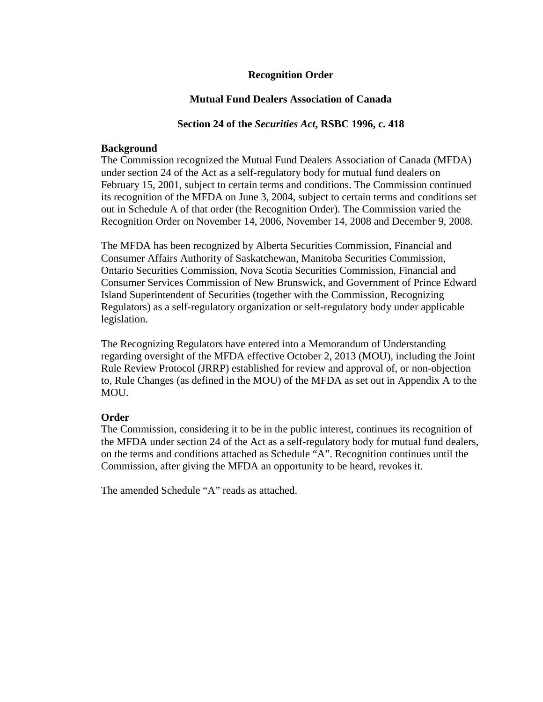#### **Recognition Order**

#### **Mutual Fund Dealers Association of Canada**

#### **Section 24 of the** *Securities Act***, RSBC 1996, c. 418**

#### **Background**

The Commission recognized the Mutual Fund Dealers Association of Canada (MFDA) under section 24 of the Act as a self-regulatory body for mutual fund dealers on February 15, 2001, subject to certain terms and conditions. The Commission continued its recognition of the MFDA on June 3, 2004, subject to certain terms and conditions set out in Schedule A of that order (the Recognition Order). The Commission varied the Recognition Order on November 14, 2006, November 14, 2008 and December 9, 2008.

The MFDA has been recognized by Alberta Securities Commission, Financial and Consumer Affairs Authority of Saskatchewan, Manitoba Securities Commission, Ontario Securities Commission, Nova Scotia Securities Commission, Financial and Consumer Services Commission of New Brunswick, and Government of Prince Edward Island Superintendent of Securities (together with the Commission, Recognizing Regulators) as a self-regulatory organization or self-regulatory body under applicable legislation.

The Recognizing Regulators have entered into a Memorandum of Understanding regarding oversight of the MFDA effective October 2, 2013 (MOU), including the Joint Rule Review Protocol (JRRP) established for review and approval of, or non-objection to, Rule Changes (as defined in the MOU) of the MFDA as set out in Appendix A to the MOU.

#### **Order**

The Commission, considering it to be in the public interest, continues its recognition of the MFDA under section 24 of the Act as a self-regulatory body for mutual fund dealers, on the terms and conditions attached as Schedule "A". Recognition continues until the Commission, after giving the MFDA an opportunity to be heard, revokes it.

The amended Schedule "A" reads as attached.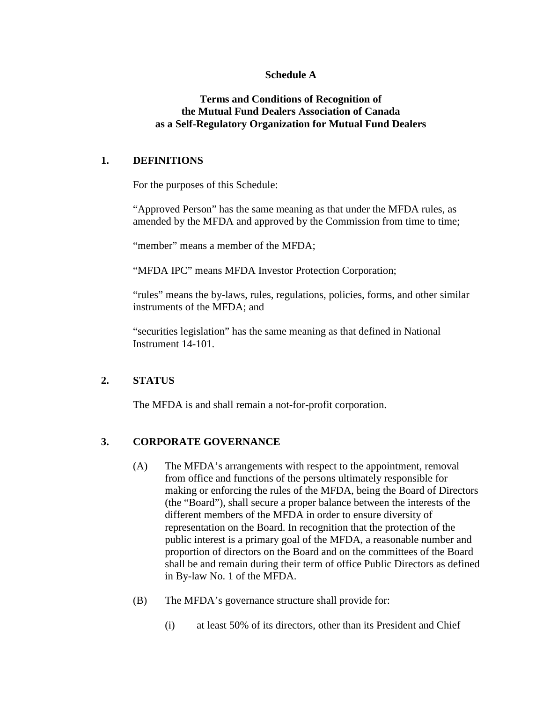#### **Schedule A**

#### **Terms and Conditions of Recognition of the Mutual Fund Dealers Association of Canada as a Self-Regulatory Organization for Mutual Fund Dealers**

## **1. DEFINITIONS**

For the purposes of this Schedule:

"Approved Person" has the same meaning as that under the MFDA rules, as amended by the MFDA and approved by the Commission from time to time;

"member" means a member of the MFDA:

"MFDA IPC" means MFDA Investor Protection Corporation;

"rules" means the by-laws, rules, regulations, policies, forms, and other similar instruments of the MFDA; and

"securities legislation" has the same meaning as that defined in National Instrument 14-101.

## **2. STATUS**

The MFDA is and shall remain a not-for-profit corporation.

# **3. CORPORATE GOVERNANCE**

- (A) The MFDA's arrangements with respect to the appointment, removal from office and functions of the persons ultimately responsible for making or enforcing the rules of the MFDA, being the Board of Directors (the "Board"), shall secure a proper balance between the interests of the different members of the MFDA in order to ensure diversity of representation on the Board. In recognition that the protection of the public interest is a primary goal of the MFDA, a reasonable number and proportion of directors on the Board and on the committees of the Board shall be and remain during their term of office Public Directors as defined in By-law No. 1 of the MFDA.
- (B) The MFDA's governance structure shall provide for:
	- (i) at least 50% of its directors, other than its President and Chief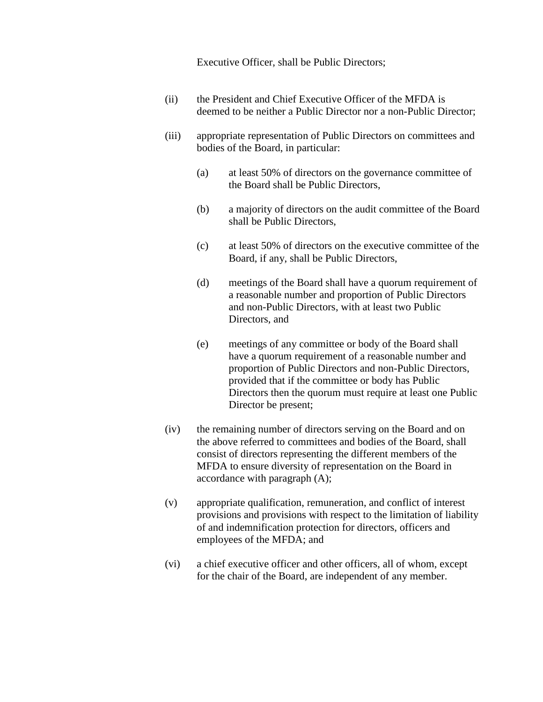Executive Officer, shall be Public Directors;

- (ii) the President and Chief Executive Officer of the MFDA is deemed to be neither a Public Director nor a non-Public Director;
- (iii) appropriate representation of Public Directors on committees and bodies of the Board, in particular:
	- (a) at least 50% of directors on the governance committee of the Board shall be Public Directors,
	- (b) a majority of directors on the audit committee of the Board shall be Public Directors,
	- (c) at least 50% of directors on the executive committee of the Board, if any, shall be Public Directors,
	- (d) meetings of the Board shall have a quorum requirement of a reasonable number and proportion of Public Directors and non-Public Directors, with at least two Public Directors, and
	- (e) meetings of any committee or body of the Board shall have a quorum requirement of a reasonable number and proportion of Public Directors and non-Public Directors, provided that if the committee or body has Public Directors then the quorum must require at least one Public Director be present;
- (iv) the remaining number of directors serving on the Board and on the above referred to committees and bodies of the Board, shall consist of directors representing the different members of the MFDA to ensure diversity of representation on the Board in accordance with paragraph (A);
- (v) appropriate qualification, remuneration, and conflict of interest provisions and provisions with respect to the limitation of liability of and indemnification protection for directors, officers and employees of the MFDA; and
- (vi) a chief executive officer and other officers, all of whom, except for the chair of the Board, are independent of any member.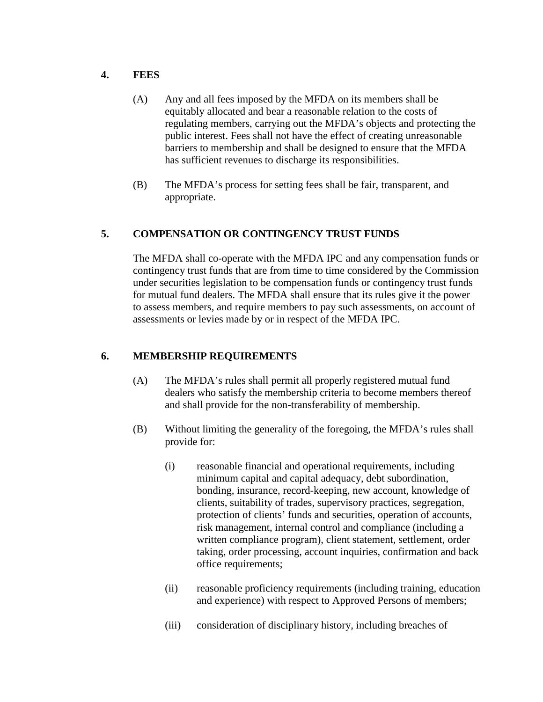## **4. FEES**

- (A) Any and all fees imposed by the MFDA on its members shall be equitably allocated and bear a reasonable relation to the costs of regulating members, carrying out the MFDA's objects and protecting the public interest. Fees shall not have the effect of creating unreasonable barriers to membership and shall be designed to ensure that the MFDA has sufficient revenues to discharge its responsibilities.
- (B) The MFDA's process for setting fees shall be fair, transparent, and appropriate.

# **5. COMPENSATION OR CONTINGENCY TRUST FUNDS**

The MFDA shall co-operate with the MFDA IPC and any compensation funds or contingency trust funds that are from time to time considered by the Commission under securities legislation to be compensation funds or contingency trust funds for mutual fund dealers. The MFDA shall ensure that its rules give it the power to assess members, and require members to pay such assessments, on account of assessments or levies made by or in respect of the MFDA IPC.

# **6. MEMBERSHIP REQUIREMENTS**

- (A) The MFDA's rules shall permit all properly registered mutual fund dealers who satisfy the membership criteria to become members thereof and shall provide for the non-transferability of membership.
- (B) Without limiting the generality of the foregoing, the MFDA's rules shall provide for:
	- (i) reasonable financial and operational requirements, including minimum capital and capital adequacy, debt subordination, bonding, insurance, record-keeping, new account, knowledge of clients, suitability of trades, supervisory practices, segregation, protection of clients' funds and securities, operation of accounts, risk management, internal control and compliance (including a written compliance program), client statement, settlement, order taking, order processing, account inquiries, confirmation and back office requirements;
	- (ii) reasonable proficiency requirements (including training, education and experience) with respect to Approved Persons of members;
	- (iii) consideration of disciplinary history, including breaches of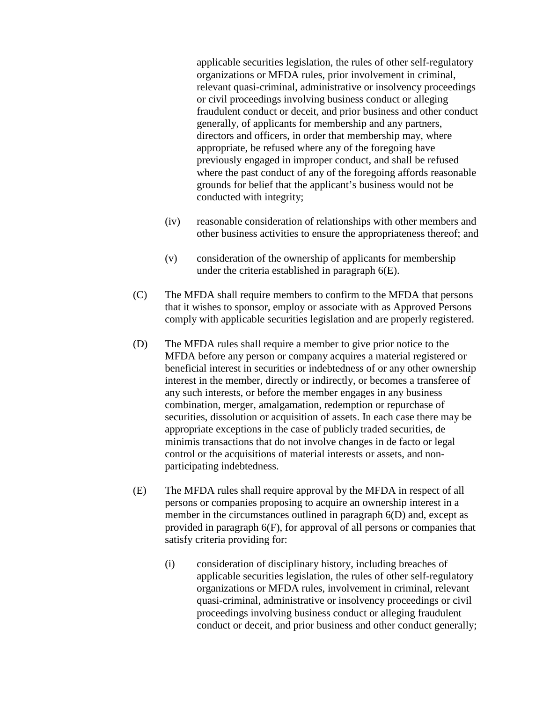applicable securities legislation, the rules of other self-regulatory organizations or MFDA rules, prior involvement in criminal, relevant quasi-criminal, administrative or insolvency proceedings or civil proceedings involving business conduct or alleging fraudulent conduct or deceit, and prior business and other conduct generally, of applicants for membership and any partners, directors and officers, in order that membership may, where appropriate, be refused where any of the foregoing have previously engaged in improper conduct, and shall be refused where the past conduct of any of the foregoing affords reasonable grounds for belief that the applicant's business would not be conducted with integrity;

- (iv) reasonable consideration of relationships with other members and other business activities to ensure the appropriateness thereof; and
- (v) consideration of the ownership of applicants for membership under the criteria established in paragraph 6(E).
- (C) The MFDA shall require members to confirm to the MFDA that persons that it wishes to sponsor, employ or associate with as Approved Persons comply with applicable securities legislation and are properly registered.
- (D) The MFDA rules shall require a member to give prior notice to the MFDA before any person or company acquires a material registered or beneficial interest in securities or indebtedness of or any other ownership interest in the member, directly or indirectly, or becomes a transferee of any such interests, or before the member engages in any business combination, merger, amalgamation, redemption or repurchase of securities, dissolution or acquisition of assets. In each case there may be appropriate exceptions in the case of publicly traded securities, de minimis transactions that do not involve changes in de facto or legal control or the acquisitions of material interests or assets, and nonparticipating indebtedness.
- (E) The MFDA rules shall require approval by the MFDA in respect of all persons or companies proposing to acquire an ownership interest in a member in the circumstances outlined in paragraph 6(D) and, except as provided in paragraph 6(F), for approval of all persons or companies that satisfy criteria providing for:
	- (i) consideration of disciplinary history, including breaches of applicable securities legislation, the rules of other self-regulatory organizations or MFDA rules, involvement in criminal, relevant quasi-criminal, administrative or insolvency proceedings or civil proceedings involving business conduct or alleging fraudulent conduct or deceit, and prior business and other conduct generally;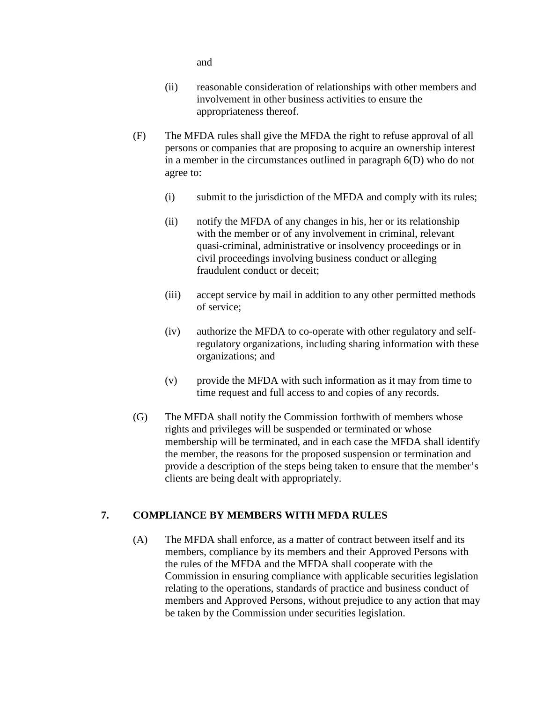and

- (ii) reasonable consideration of relationships with other members and involvement in other business activities to ensure the appropriateness thereof.
- (F) The MFDA rules shall give the MFDA the right to refuse approval of all persons or companies that are proposing to acquire an ownership interest in a member in the circumstances outlined in paragraph 6(D) who do not agree to:
	- (i) submit to the jurisdiction of the MFDA and comply with its rules;
	- (ii) notify the MFDA of any changes in his, her or its relationship with the member or of any involvement in criminal, relevant quasi-criminal, administrative or insolvency proceedings or in civil proceedings involving business conduct or alleging fraudulent conduct or deceit;
	- (iii) accept service by mail in addition to any other permitted methods of service;
	- (iv) authorize the MFDA to co-operate with other regulatory and selfregulatory organizations, including sharing information with these organizations; and
	- (v) provide the MFDA with such information as it may from time to time request and full access to and copies of any records.
- (G) The MFDA shall notify the Commission forthwith of members whose rights and privileges will be suspended or terminated or whose membership will be terminated, and in each case the MFDA shall identify the member, the reasons for the proposed suspension or termination and provide a description of the steps being taken to ensure that the member's clients are being dealt with appropriately.

## **7. COMPLIANCE BY MEMBERS WITH MFDA RULES**

(A) The MFDA shall enforce, as a matter of contract between itself and its members, compliance by its members and their Approved Persons with the rules of the MFDA and the MFDA shall cooperate with the Commission in ensuring compliance with applicable securities legislation relating to the operations, standards of practice and business conduct of members and Approved Persons, without prejudice to any action that may be taken by the Commission under securities legislation.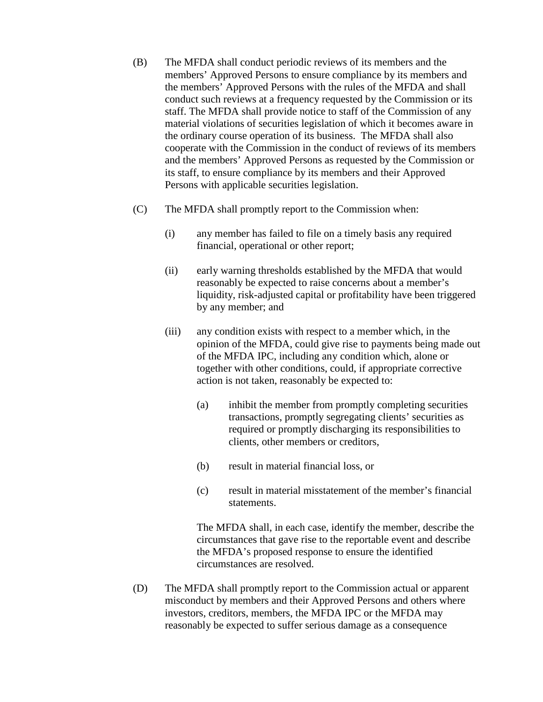- (B) The MFDA shall conduct periodic reviews of its members and the members' Approved Persons to ensure compliance by its members and the members' Approved Persons with the rules of the MFDA and shall conduct such reviews at a frequency requested by the Commission or its staff. The MFDA shall provide notice to staff of the Commission of any material violations of securities legislation of which it becomes aware in the ordinary course operation of its business. The MFDA shall also cooperate with the Commission in the conduct of reviews of its members and the members' Approved Persons as requested by the Commission or its staff, to ensure compliance by its members and their Approved Persons with applicable securities legislation.
- (C) The MFDA shall promptly report to the Commission when:
	- (i) any member has failed to file on a timely basis any required financial, operational or other report;
	- (ii) early warning thresholds established by the MFDA that would reasonably be expected to raise concerns about a member's liquidity, risk-adjusted capital or profitability have been triggered by any member; and
	- (iii) any condition exists with respect to a member which, in the opinion of the MFDA, could give rise to payments being made out of the MFDA IPC, including any condition which, alone or together with other conditions, could, if appropriate corrective action is not taken, reasonably be expected to:
		- (a) inhibit the member from promptly completing securities transactions, promptly segregating clients' securities as required or promptly discharging its responsibilities to clients, other members or creditors,
		- (b) result in material financial loss, or
		- (c) result in material misstatement of the member's financial statements.

The MFDA shall, in each case, identify the member, describe the circumstances that gave rise to the reportable event and describe the MFDA's proposed response to ensure the identified circumstances are resolved.

(D) The MFDA shall promptly report to the Commission actual or apparent misconduct by members and their Approved Persons and others where investors, creditors, members, the MFDA IPC or the MFDA may reasonably be expected to suffer serious damage as a consequence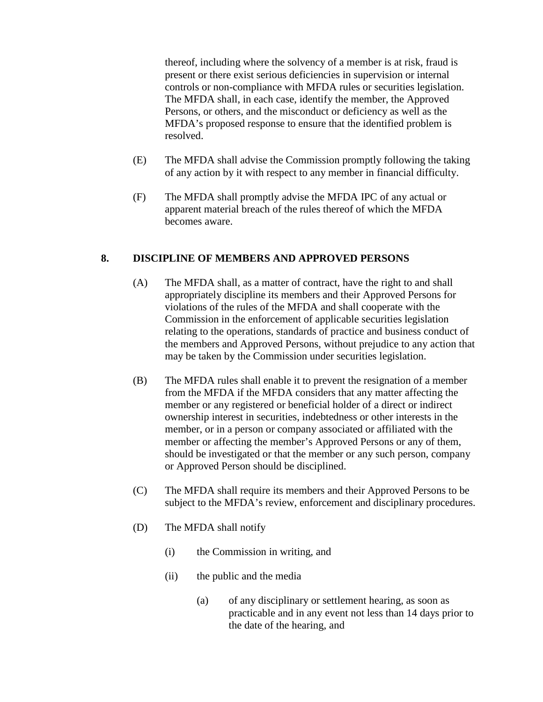thereof, including where the solvency of a member is at risk, fraud is present or there exist serious deficiencies in supervision or internal controls or non-compliance with MFDA rules or securities legislation. The MFDA shall, in each case, identify the member, the Approved Persons, or others, and the misconduct or deficiency as well as the MFDA's proposed response to ensure that the identified problem is resolved.

- (E) The MFDA shall advise the Commission promptly following the taking of any action by it with respect to any member in financial difficulty.
- (F) The MFDA shall promptly advise the MFDA IPC of any actual or apparent material breach of the rules thereof of which the MFDA becomes aware.

# **8. DISCIPLINE OF MEMBERS AND APPROVED PERSONS**

- (A) The MFDA shall, as a matter of contract, have the right to and shall appropriately discipline its members and their Approved Persons for violations of the rules of the MFDA and shall cooperate with the Commission in the enforcement of applicable securities legislation relating to the operations, standards of practice and business conduct of the members and Approved Persons, without prejudice to any action that may be taken by the Commission under securities legislation.
- (B) The MFDA rules shall enable it to prevent the resignation of a member from the MFDA if the MFDA considers that any matter affecting the member or any registered or beneficial holder of a direct or indirect ownership interest in securities, indebtedness or other interests in the member, or in a person or company associated or affiliated with the member or affecting the member's Approved Persons or any of them, should be investigated or that the member or any such person, company or Approved Person should be disciplined.
- (C) The MFDA shall require its members and their Approved Persons to be subject to the MFDA's review, enforcement and disciplinary procedures.
- (D) The MFDA shall notify
	- (i) the Commission in writing, and
	- (ii) the public and the media
		- (a) of any disciplinary or settlement hearing, as soon as practicable and in any event not less than 14 days prior to the date of the hearing, and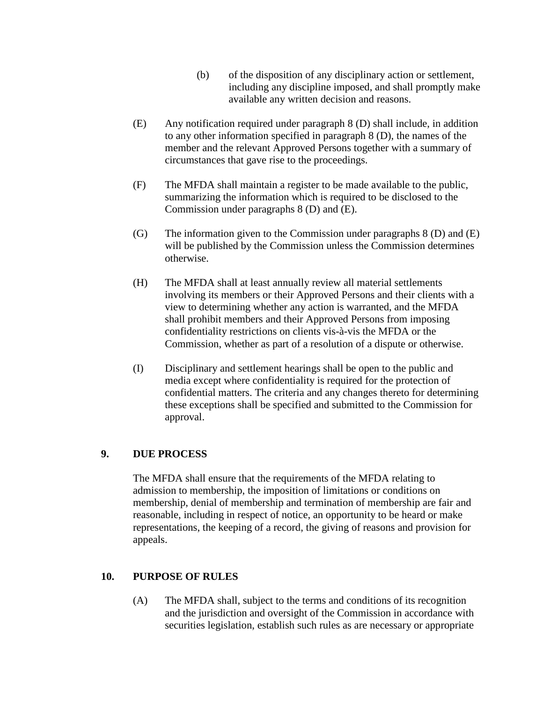- (b) of the disposition of any disciplinary action or settlement, including any discipline imposed, and shall promptly make available any written decision and reasons.
- (E) Any notification required under paragraph 8 (D) shall include, in addition to any other information specified in paragraph 8 (D), the names of the member and the relevant Approved Persons together with a summary of circumstances that gave rise to the proceedings.
- (F) The MFDA shall maintain a register to be made available to the public, summarizing the information which is required to be disclosed to the Commission under paragraphs 8 (D) and (E).
- (G) The information given to the Commission under paragraphs  $8$  (D) and (E) will be published by the Commission unless the Commission determines otherwise.
- (H) The MFDA shall at least annually review all material settlements involving its members or their Approved Persons and their clients with a view to determining whether any action is warranted, and the MFDA shall prohibit members and their Approved Persons from imposing confidentiality restrictions on clients vis-à-vis the MFDA or the Commission, whether as part of a resolution of a dispute or otherwise.
- (I) Disciplinary and settlement hearings shall be open to the public and media except where confidentiality is required for the protection of confidential matters. The criteria and any changes thereto for determining these exceptions shall be specified and submitted to the Commission for approval.

## **9. DUE PROCESS**

The MFDA shall ensure that the requirements of the MFDA relating to admission to membership, the imposition of limitations or conditions on membership, denial of membership and termination of membership are fair and reasonable, including in respect of notice, an opportunity to be heard or make representations, the keeping of a record, the giving of reasons and provision for appeals.

## **10. PURPOSE OF RULES**

(A) The MFDA shall, subject to the terms and conditions of its recognition and the jurisdiction and oversight of the Commission in accordance with securities legislation, establish such rules as are necessary or appropriate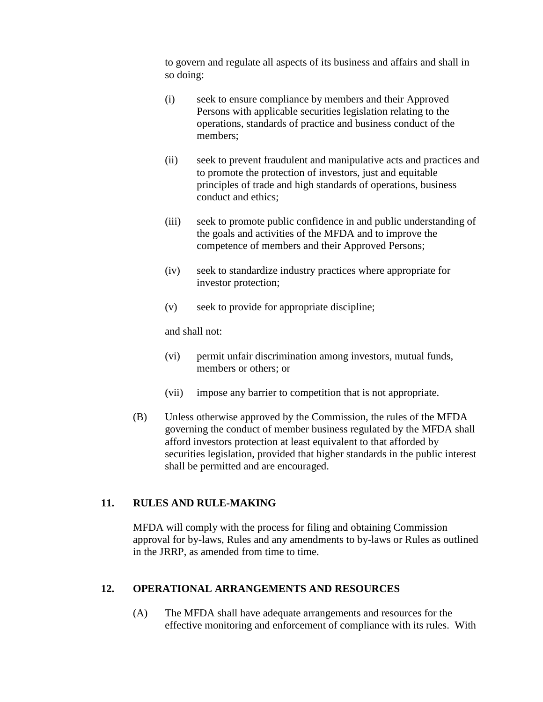to govern and regulate all aspects of its business and affairs and shall in so doing:

- (i) seek to ensure compliance by members and their Approved Persons with applicable securities legislation relating to the operations, standards of practice and business conduct of the members;
- (ii) seek to prevent fraudulent and manipulative acts and practices and to promote the protection of investors, just and equitable principles of trade and high standards of operations, business conduct and ethics;
- (iii) seek to promote public confidence in and public understanding of the goals and activities of the MFDA and to improve the competence of members and their Approved Persons;
- (iv) seek to standardize industry practices where appropriate for investor protection;
- (v) seek to provide for appropriate discipline;

and shall not:

- (vi) permit unfair discrimination among investors, mutual funds, members or others; or
- (vii) impose any barrier to competition that is not appropriate.
- (B) Unless otherwise approved by the Commission, the rules of the MFDA governing the conduct of member business regulated by the MFDA shall afford investors protection at least equivalent to that afforded by securities legislation, provided that higher standards in the public interest shall be permitted and are encouraged.

## **11. RULES AND RULE-MAKING**

MFDA will comply with the process for filing and obtaining Commission approval for by-laws, Rules and any amendments to by-laws or Rules as outlined in the JRRP, as amended from time to time.

## **12. OPERATIONAL ARRANGEMENTS AND RESOURCES**

(A) The MFDA shall have adequate arrangements and resources for the effective monitoring and enforcement of compliance with its rules. With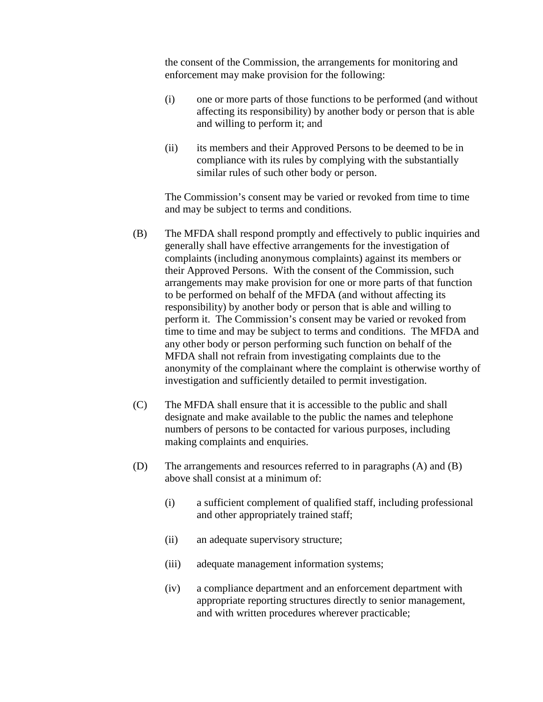the consent of the Commission, the arrangements for monitoring and enforcement may make provision for the following:

- (i) one or more parts of those functions to be performed (and without affecting its responsibility) by another body or person that is able and willing to perform it; and
- (ii) its members and their Approved Persons to be deemed to be in compliance with its rules by complying with the substantially similar rules of such other body or person.

The Commission's consent may be varied or revoked from time to time and may be subject to terms and conditions.

- (B) The MFDA shall respond promptly and effectively to public inquiries and generally shall have effective arrangements for the investigation of complaints (including anonymous complaints) against its members or their Approved Persons. With the consent of the Commission, such arrangements may make provision for one or more parts of that function to be performed on behalf of the MFDA (and without affecting its responsibility) by another body or person that is able and willing to perform it. The Commission's consent may be varied or revoked from time to time and may be subject to terms and conditions. The MFDA and any other body or person performing such function on behalf of the MFDA shall not refrain from investigating complaints due to the anonymity of the complainant where the complaint is otherwise worthy of investigation and sufficiently detailed to permit investigation.
- (C) The MFDA shall ensure that it is accessible to the public and shall designate and make available to the public the names and telephone numbers of persons to be contacted for various purposes, including making complaints and enquiries.
- (D) The arrangements and resources referred to in paragraphs (A) and (B) above shall consist at a minimum of:
	- (i) a sufficient complement of qualified staff, including professional and other appropriately trained staff;
	- (ii) an adequate supervisory structure;
	- (iii) adequate management information systems;
	- (iv) a compliance department and an enforcement department with appropriate reporting structures directly to senior management, and with written procedures wherever practicable;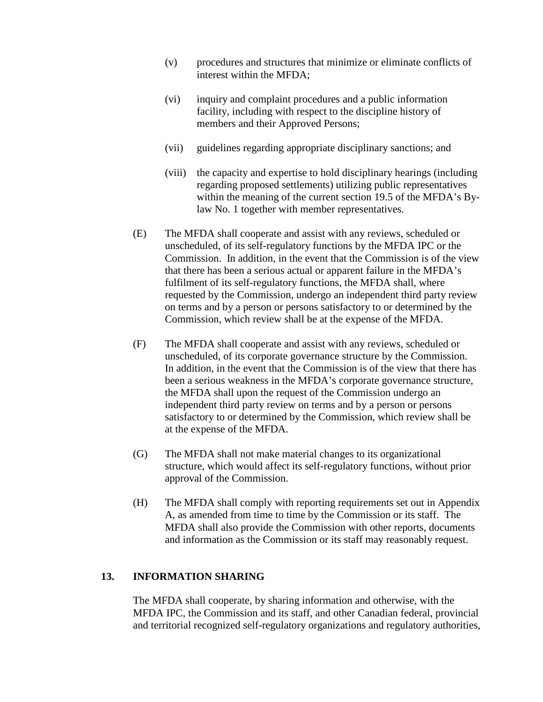- (v) procedures and structures that minimize or eliminate conflicts of interest within the MFDA;
- (vi) inquiry and complaint procedures and a public information facility, including with respect to the discipline history of members and their Approved Persons;
- (vii) guidelines regarding appropriate disciplinary sanctions; and
- (viii) the capacity and expertise to hold disciplinary hearings (including regarding proposed settlements) utilizing public representatives within the meaning of the current section 19.5 of the MFDA's Bylaw No. 1 together with member representatives.
- (E) The MFDA shall cooperate and assist with any reviews, scheduled or unscheduled, of its self-regulatory functions by the MFDA IPC or the Commission. In addition, in the event that the Commission is of the view that there has been a serious actual or apparent failure in the MFDA's fulfilment of its self-regulatory functions, the MFDA shall, where requested by the Commission, undergo an independent third party review on terms and by a person or persons satisfactory to or determined by the Commission, which review shall be at the expense of the MFDA.
- (F) The MFDA shall cooperate and assist with any reviews, scheduled or unscheduled, of its corporate governance structure by the Commission. In addition, in the event that the Commission is of the view that there has been a serious weakness in the MFDA's corporate governance structure, the MFDA shall upon the request of the Commission undergo an independent third party review on terms and by a person or persons satisfactory to or determined by the Commission, which review shall be at the expense of the MFDA.
- (G) The MFDA shall not make material changes to its organizational structure, which would affect its self-regulatory functions, without prior approval of the Commission.
- (H) The MFDA shall comply with reporting requirements set out in Appendix A, as amended from time to time by the Commission or its staff. The MFDA shall also provide the Commission with other reports, documents and information as the Commission or its staff may reasonably request.

#### **13. INFORMATION SHARING**

The MFDA shall cooperate, by sharing information and otherwise, with the MFDA IPC, the Commission and its staff, and other Canadian federal, provincial and territorial recognized self-regulatory organizations and regulatory authorities,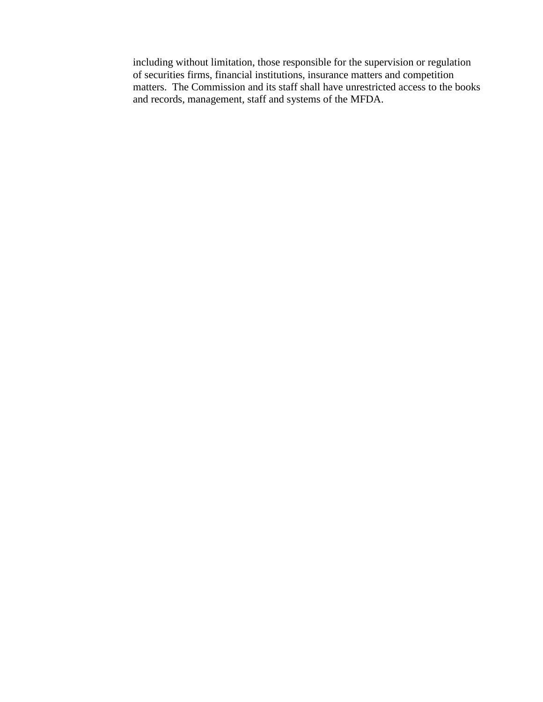including without limitation, those responsible for the supervision or regulation of securities firms, financial institutions, insurance matters and competition matters. The Commission and its staff shall have unrestricted access to the books and records, management, staff and systems of the MFDA.